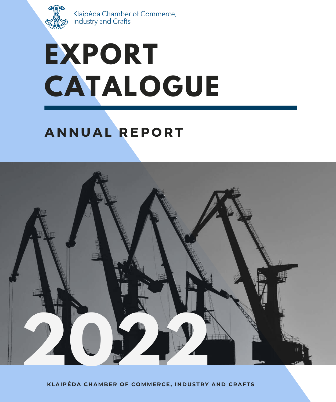

Klaipėda Chamber of Commerce,<br>Industry and Crafts

# **EXPORT CATALOGUE**

## **A N N U A L R EP O R T**



**KLAIPĖ D A C H AMBER OF COMMERC E, I N D USTRY A N D CRAFTS**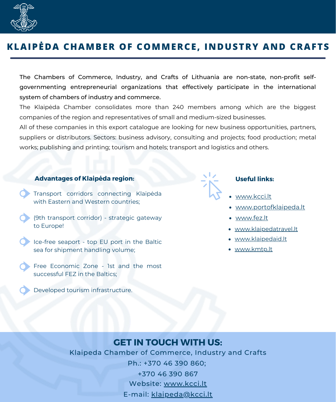

## **KLAIPĖDA CHAMBER OF COMMERCE, INDUSTRY AND CRAFTS**

The Chambers of Commerce, Industry, and Crafts of Lithuania are non-state, non-profit selfgovernmenting entrepreneurial organizations that effectively participate in the international system of chambers of industry and commerce.

The Klaipėda Chamber consolidates more than 240 members among which are the biggest companies of the region and representatives of small and medium-sized businesses.

All of these companies in this export catalogue are looking for new business opportunities, partners, suppliers or distributors. Sectors: business advisory, consulting and projects; food production; metal works; publishing and printing; tourism and hotels; transport and logistics and others.

#### **Advantages of Klaipėda region: Useful links:**

- Transport corridors connecting Klaipėda with Eastern and Western countries;
- (9th transport corridor) strategic gateway to Europe!
- Ice-free seaport top EU port in the Baltic sea for shipment handling volume;
- Free Economic Zone 1st and the most successful FEZ in the Baltics;
	- Developed tourism infrastructure.

- [www.kcci.lt](https://www.kcci.lt/)
- [www.portofklaipeda.lt](https://www.portofklaipeda.lt/)
- [www.fez.lt](https://www.fez.lt/)
- [www.klaipedatravel.lt](https://klaipedatravel.lt/)
- [www.klaipedaid.lt](https://klaipedaid.lt/)
- [www.kmtp.lt](https://www.kmtp.lt/)

## **GET IN TOUCH WITH US:**

Klaipeda Chamber of Commerce, Industry and Crafts Ph.: +370 46 390 860; +370 46 390 867 Website: [www.kcci.lt](http://www.kcci.lt/en) E-mail: [klaipeda@kcci.lt](mailto:klaipeda@kcci.lt)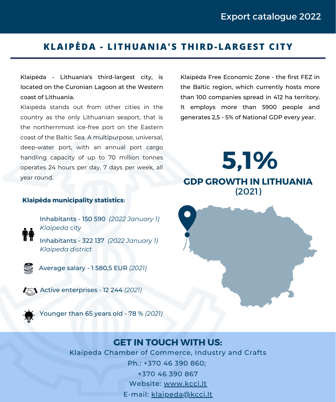## **KLAIPĖDA - LITHUANIA'S THIRD-LARGEST CITY**

Klaipėda - Lithuania's third-largest city, is located on the Curonian Lagoon at the Western coast of Lithuania.

Klaipėda stands out from other cities in the country as the only Lithuanian seaport, that is the northernmost ice-free port on the Eastern coast of the Baltic Sea. A multipurpose, universal, deep-water port, with an annual port cargo handling capacity of up to 70 million tonnes operates 24 hours per day, 7 days per week, all year round.

Klaipėda Free Economic Zone - the first FEZ in the Baltic region, which currently hosts more than 100 companies spread in 412 ha territory. It employs more than 5900 people and generates 2,5 - 5% of National GDP every year.

**5,1% GDP GROWTH IN LITHUANIA** (2021)

#### **Klaipėda municipality statistics:**

Inhabitants - 150 590 *(2022 January 1) Klaipeda city*

Inhabitants - 322 137 *(2022 January 1) Klaipeda district*



Average salary - 1 580,5 EUR *(2021)*

**Active enterprises - 12 244 (2021)** 



Younger than 65 years old - 78 % *(2021)*



## **GET IN TOUCH WITH US:**

Klaipeda Chamber of Commerce, Industry and Crafts Ph.: +370 46 390 860; +370 46 390 867 Website: [www.kcci.lt](http://www.kcci.lt/en)

E-mail: [klaipeda@kcci.lt](mailto:klaipeda@kcci.lt)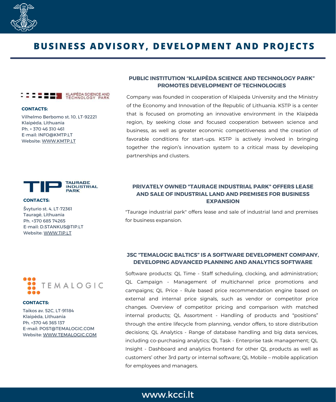

## **BUSINESS ADVISORY, DEVELOPMENT AND PROJECTS**

### KLAIPÈDA SCIENCE AND<br>TECHNOLOGY PARK

**CONTACTS:**

Vilhelmo Berbomo st. 10, LT-92221 Klaipėda, Lithuania Ph. + 370 46 310 461 E-mail: INFO@KMTP.LT Website: [WWW.KMTP.LT](https://www.kmtp.lt/)



#### **CONTACTS:**

Švyturio st. 4, LT-72361 Tauragė, Lithuania Ph. +370 685 74265 E-mail: D.STANKUS@TIP.LT Website: [WWW.TIP.LT](https://www.tip.lt/)



Company was founded in cooperation of Klaipėda University and the Ministry of the Economy and Innovation of the Republic of Lithuania. KSTP is a center that is focused on promoting an innovative environment in the Klaipėda region, by seeking close and focused cooperation between science and business, as well as greater economic competitiveness and the creation of favorable conditions for start-ups. KSTP is actively involved in bringing together the region's innovation system to a critical mass by developing partnerships and clusters.

#### **PRIVATELY OWNED "TAURAGE INDUSTRIAL PARK" OFFERS LEASE AND SALE OF INDUSTRIAL LAND AND PREMISES FOR BUSINESS EXPANSION**

"Taurage industrial park" offers lease and sale of industrial land and premises for business expansion.



#### **CONTACTS:**

Taikos av. 52C, LT-91184 Klaipėda, Lithuania Ph. +370 46 365 137 E-mail: POST@TEMALOGIC.COM Website: [WWW.TEMALOGIC.COM](https://www.temalogic.com/)

#### **JSC "TEMALOGIC BALTICS" IS A SOFTWARE DEVELOPMENT COMPANY, DEVELOPING ADVANCED PLANNING AND ANALYTICS SOFTWARE**

Software products: QL Time - Staff scheduling, clocking, and administration; QL Campaign - Management of multichannel price promotions and campaigns; QL Price - Rule based price recommendation engine based on external and internal price signals, such as vendor or competitor price changes. Overview of competitor pricing and comparison with matched internal products; QL Assortment - Handling of products and "positions" through the entire lifecycle from planning, vendor offers, to store distribution decisions; QL Analytics - Range of database handling and big data services, including co-purchasing analytics; QL Task - Enterprise task management; QL Insight - Dashboard and analytics frontend for other QL products as well as customers' other 3rd party or internal software; QL Mobile – mobile application for employees and managers.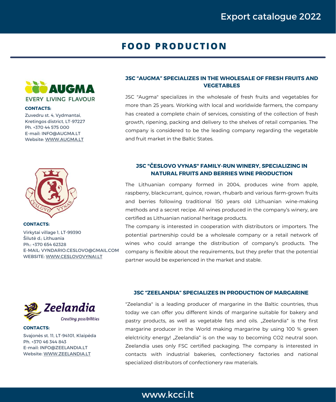## **FOOD PRODUCTION**



#### **CONTACTS:**

Zuvedru st. 4, Vydmantai, Kretingos district, LT-97227 Ph. +370 44 575 000 E-mail: [INFO@AUGMA.LT](mailto:INFO@AUGMA.LT) Website: [WWW.AUGMA.LT](https://www.augma.lt/en)



**CONTACTS:** Virkytai village 1, LT-99390 Šilutė d.; Lithuania Ph.: +370 654 62328 E-MAIL: [VYNDARIO.CESLOVO@G](mailto:vyndarioceslovo.gmail.com)MAIL.COM WEBSITE: [WWW.CESLOVOVYNAI.LT](https://www.ceslovovynai.lt/en/)

#### **JSC "AUGMA" SPECIALIZES IN THE WHOLESALE OF FRESH FRUITS AND VEGETABLES**

JSC "Augma" specializes in the wholesale of fresh fruits and vegetables for more than 25 years. Working with local and worldwide farmers, the company has created a complete chain of services, consisting of the collection of fresh growth, ripening, packing and delivery to the shelves of retail companies. The company is considered to be the leading company regarding the vegetable and fruit market in the Baltic States.

#### **JSC "ČESLOVO VYNAS" FAMILY-RUN WINERY, SPECIALIZING IN NATURAL FRUITS AND BERRIES WINE PRODUCTION**

The Lithuanian company formed in 2004, produces wine from apple, raspberry, blackcurrant, quince, rowan, rhubarb and various farm-grown fruits and berries following traditional 150 years old Lithuanian wine-making methods and a secret recipe. All wines produced in the company's winery, are certified as Lithuanian national heritage products.

The company is interested in cooperation with distributors or importers. The potential partnership could be a wholesale company or a retail network of wines who could arrange the distribution of company's products. The company is flexible about the requirements, but they prefer that the potential partner would be experienced in the market and stable.



Svajonės st. 11, LT-94101, Klaipėda Ph. +370 46 344 843 E-mail: INFO@ZEELANDIA.LT Website: [WWW.ZEELANDIA.LT](https://www.zeelandia.lt/en)

**CONTACTS:**

#### **JSC "ZEELANDIA" SPECIALIZES IN PRODUCTION OF MARGARINE**

"Zeelandia" is a leading producer of margarine in the Baltic countries, thus today we can offer you different kinds of margarine suitable for bakery and pastry products, as well as vegetable fats and oils. "Zeelandia" is the first margarine producer in the World making margarine by using 100 % green elelctricity energy! "Zeelandia" is on the way to becoming CO2 neutral soon. Zeelandia uses only FSC certified packaging. The company is interested in contacts with industrial bakeries, confectionery factories and national specialized distributors of confectionery raw materials.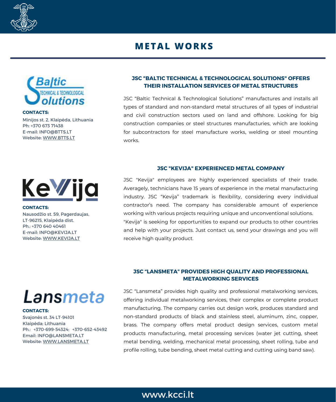

## **METAL WORKS**



Minijos st. 2, Klaipėda, Lithuania Ph: +370 673 71438 E-mail: [INFO@BTTS.LT](mailto:INFO@BTTS.LT) Website: [WWW.BTTS.LT](https://btts.lt/)

#### **JSC "BALTIC TECHNICAL & TECHNOLOGICAL SOLUTIONS" OFFERS THEIR INSTALLATION SERVICES OF METAL STRUCTURES**

JSC "Baltic Technical & Technological Solutions" manufactures and installs all types of standard and non-standard metal structures of all types of industrial and civil construction sectors used on land and offshore. Looking for big construction companies or steel structures manufacturies, which are looking for subcontractors for steel manufacture works, welding or steel mounting works.

## **JSC "KEVIJA" EXPERIENCED METAL COMPANY**



**CONTACTS:**

Nausodžio st. 59, Pagerdaujas, LT-96215, Klaipėda dist. Ph.: +370 640 40461 E-mail: INFO@KEVIJA.LT Website: [WWW.KEVIJA.LT](http://kevija.lt/)

Averagely, technicians have 15 years of experience in the metal manufacturing industry. JSC "Kevija" trademark is flexibility, considering every individual contractor's need. The company has considerable amount of experience working with various projects requiring unique and unconventional solutions. "Kevija" is seeking for opportunities to expand our products to other countries and help with your projects. Just contact us, send your drawings and you will receive high quality product.

JSC "Kevija" employees are highly experienced specialists of their trade.

#### **JSC "LANSMETA" PROVIDES HIGH QUALITY AND PROFESSIONAL METALWORKING SERVICES**

JSC "Lansmeta" provides high quality and professional metalworking services, offering individual metalworking services, their complex or complete product manufacturing. The company carries out design work, produces standard and non-standard products of black and stainless steel, aluminum, zinc, copper, brass. The company offers metal product design services, custom metal products manufacturing, metal processing services (water jet cutting, sheet metal bending, welding, mechanical metal processing, sheet rolling, tube and profile rolling, tube bending, sheet metal cutting and cutting using band saw).

## Lansmeta

#### **CONTACTS:**

Svajonės st. 34 LT-94101 Klaipėda; Lithuania Ph.: +370-699-54324; +370-652-43492 Email: INFO@LANSMETA.LT Website: [WWW.LANSMETA.LT](https://www.lansmeta.lt/)

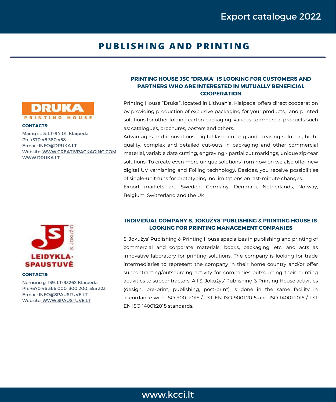## **PUBLISHING AND PRINTING**



#### **CONTACTS:**

Mainų st. 5, LT-94101, Klaipėda Ph. +370 46 380 458 E-mail: INFO@DRUKA.LT Website: [WWW.CREATIVPACKAGING.COM](https://www.creativpackaging.com/) [WWW.DRUKA.LT](http://www.druka.lt/)



#### **CONTACTS:**

Nemuno g. 139, LT-93262 Klaipėda Ph. +370 46 366 000, 300 200, 355 323 E-mail: INFO@SPAUSTUVE.LT Website: [WWW.SPAUSTUVE.LT](http://www.spaustuve.lt/home)

#### **PRINTING HOUSE JSC "DRUKA" IS LOOKING FOR CUSTOMERS AND PARTNERS WHO ARE INTERESTED IN MUTUALLY BENEFICIAL COOPERATION**

Printing House "Druka", located in Lithuania, Klaipeda, offers direct cooperation by providing production of exclusive packaging for your products, and printed solutions for other folding carton packaging, various commercial products such as: catalogues, brochures, posters and others.

Advantages and innovations: digital laser cutting and creasing solution, highquality, complex and detailed cut-outs in packaging and other commercial material, variable data cutting, engraving - partial cut markings, unique zip-tear solutions. To create even more unique solutions from now on we also offer new digital UV varnishing and Foiling technology. Besides, you receive possibilities of single-unit runs for prototyping, no limitations on last-minute changes.

Export markets are Sweden, Germany, Denmark, Netherlands, Norway, Belgium, Switzerland and the UK.

#### **INDIVIDUAL COMPANY S. JOKUŽYS' PUBLISHING & PRINTING HOUSE IS LOOKING FOR PRINTING MANAGEMENT COMPANIES**

S. Jokužys' Publishing & Printing House specializes in publishing and printing of commercial and corporate materials, books, packaging, etc. and acts as innovative laboratory for printing solutions. The company is looking for trade intermediaries to represent the company in their home country and/or offer subcontracting/outsourcing activity for companies outsourcing their printing activities to subcontractors. All S. Jokužys' Publishing & Printing House activities (design, pre-print, publishing, post-print) is done in the same facility in accordance with ISO 9001:2015 / LST EN ISO 9001:2015 and ISO 14001:2015 / LST EN ISO 14001:2015 standards.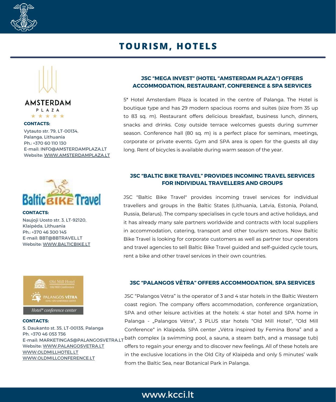

## **TOURISM, HOTELS**





#### **CONTACTS:**

Vytauto str. 79, LT-00134, Palanga, Lithuania Ph.: +370 60 110 130 E-mail: INFO@AMSTERDAMPLAZA.LT Website: [WWW.AMSTERDAMPLAZA.LT](https://www.amsterdamplaza.lt/)



Naujoji Uosto str. 3, LT-92120, Klaipėda, Lithuania Ph.: +370 46 300 145 E-mail: BBT@BBTRAVEL.LT **CONTACTS:**

Website[:](https://www.bbtravel.lt/) [WWW.BALTICBIKE.LT](https://www.bbtravel.lt/)



#### **CONTACTS:**

S. Daukanto st. 35, LT-00135, Palanga Ph. +370 46 053 736 E-mail: MARKETINGAS@PALANGOSVETRA.LT Website[:](https://www.palangosvetra.lt/lt/pagrindinis/) [WWW.PALANGOSVETRA.LT](https://www.palangosvetra.lt/lt/pagrindinis/) [WWW.OLDMILLHOTEL.LT](http://www.oldmillhotel.lt/lt/pagrindinis/) [WWW.OLDMILLCONFERENCE.LT](http://www.oldmillconference.lt/lt/pagrindinis/)

#### **JSC "MEGA INVEST" (HOTEL "AMSTERDAM PLAZA") OFFERS ACCOMMODATION, RESTAURANT, CONFERENCE & SPA SERVICES**

5\* Hotel Amsterdam Plaza is located in the centre of Palanga. The Hotel is boutique type and has 29 modern spacious rooms and suites (size from 35 up to 83 sq. m). Restaurant offers delicious breakfast, business lunch, dinners, snacks and drinks. Cosy outside terrace welcomes guests during summer season. Conference hall (80 sq. m) is a perfect place for seminars, meetings, corporate or private events. Gym and SPA area is open for the guests all day long. Rent of bicycles is available during warm season of the year.

#### **JSC "BALTIC BIKE TRAVEL" PROVIDES INCOMING TRAVEL SERVICES FOR INDIVIDUAL TRAVELLERS AND GROUPS**

JSC "Baltic Bike Travel" provides incoming travel services for individual travellers and groups in the Baltic States (Lithuania, Latvia, Estonia, Poland, Russia, Belarus). The company specialises in cycle tours and active holidays, and it has already many sale partners worldwide and contracts with local suppliers in accommodation, catering, transport and other tourism sectors. Now Baltic Bike Travel is looking for corporate customers as well as partner tour operators and travel agencies to sell Baltic Bike Travel guided and self-guided cycle tours, rent a bike and other travel services in their own countries.

#### **JSC "PALANGOS VĖTRA" OFFERS ACCOMMODATION, SPA SERVICES**

JSC "Palangos Vėtra" is the operator of 3 and 4 star hotels in the Baltic Western coast region. The company offers accommodation, conference organization, SPA and other leisure activities at the hotels: 4 star hotel and SPA home in Palanga - "Palangos Vėtra", 3 PLUS star hotels "Old Mill Hotel", "Old Mill Conference" in Klaipėda. SPA center "Vėtra inspired by Femina Bona" and a bath complex (a swimming pool, a sauna, a steam bath, and a massage tub) offers to regain your energy and to discover new feelings. All of these hotels are in the exclusive locations in the Old City of Klaipėda and only 5 minutes' walk from the Baltic Sea, near Botanical Park in Palanga.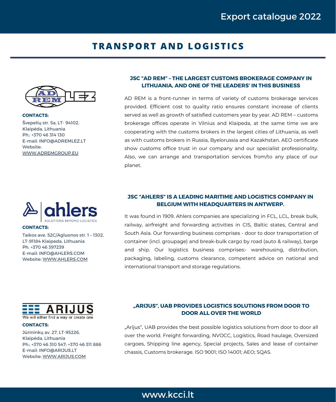## **TRANSPORT AND LOGISTICS**



Švepelių str. 5a, LT- 94102, Klaipėda, Lithuania Ph.: +370 46 314 130 E-mail: INFO@ADREMLEZ.LT Website: [WWW.ADREMGROUP.EU](https://www.adrem.lt/) **CONTACTS:**



**CONTACTS:**

Taikos ave. 52C/Agluonos str. 1 – 1302, LT-91184 Klaipeda, Lithuania Ph. +370 46 397239 E-mail: INFO@AHLERS.COM Website: [WWW.AHLERS.COM](https://www.ahlers.com/en)



AD REM is a front-runner in terms of variety of customs brokerage services provided. Efficient cost to quality ratio ensures constant increase of clients served as well as growth of satisfied customers year by year. AD REM – customs brokerage offices operate in Vilnius and Klaipeda, at the same time we are cooperating with the customs brokers in the largest cities of Lithuania, as well as with customs brokers in Russia, Byelorussia and Kazakhstan. AEO certificate show customs office trust in our company and our specialist professionality. Also, we can arrange and transportation services from/to any place of our planet.

#### **JSC "AHLERS" IS A LEADING MARITIME AND LOGISTICS COMPANY IN BELGIUM WITH HEADQUARTERS IN ANTWERP.**

It was found in 1909. Ahlers companies are specializing in FCL, LCL, break bulk, railway, airfreight and forwarding activities in CIS, Baltic states, Central and South Asia. Our forwarding business comprises - door to door transportation of container (incl. groupage) and break-bulk cargo by road (auto & railway), barge and ship. Our logistics business comprises: warehousing, distribution, packaging, labeling, customs clearance, competent advice on national and international transport and storage regulations.



#### **CONTACTS:**

Jūrininkų av. 27, LT-95226, Klaipėda, Lithuania Ph.: +370 46 310 547; +370 46 311 886 E-mail: INFO@ARIJUS.LT Website: [WWW.ARIJUS.COM](https://www.arijus.lt/lang/en)

#### **"ARIJUS", UAB PROVIDES LOGISTICS SOLUTIONS FROM DOOR TO DOOR ALL OVER THE WORLD**

"Arijus", UAB provides the best possible logistics solutions from door to door all over the world. Freight forwarding, NVOCC, Logistics, Road haulage, Oversized cargoes, Shipping line agency, Special projects, Sales and lease of container chassis, Customs brokerage. ISO 9001; ISO 14001; AEO; SQAS.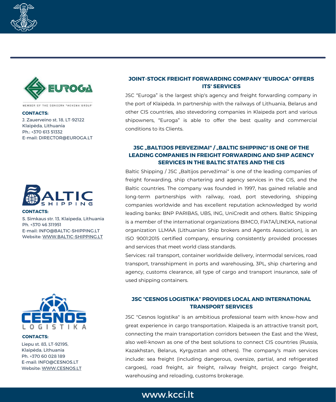



MEMBER OF THE CONCERN "ACHEMA GROUP"

#### **CONTACTS:**

J. Zauerveino st. 18, LT-92122 Klaipėda, Lithuania Ph.: +370 613 51332 E-mail: DIRECTOR@EUROGA.LT



#### **CONTACTS:**

S. Simkaus str. 13, Klaipeda, Lithuania Ph. +370 46 311951 E-mail: INFO@BALTIC-SHIPPING.LT Website: [WWW.BALTIC-SHIPPING.LT](https://www.baltic-shipping.lt/)



#### **CONTACTS:**

Liepu st. 83, LT-92195, Klaipėda, Lithuania Ph. +370 60 028 189 E-mail: INFO@CESNOS.LT Website: [WWW.CESNOS.LT](https://www.cesnos.lt/en/)

#### **JOINT-STOCK FREIGHT FORWARDING COMPANY "EUROGA" OFFERS ITS' SERVICES**

JSC "Euroga" is the largest ship's agency and freight forwarding company in the port of Klaipėda. In partnership with the railways of Lithuania, Belarus and other CIS countries, also stevedoring companies in Klaipeda port and various shipowners, "Euroga" is able to offer the best quality and commercial conditions to its Clients.

#### **JSC "BALTIJOS PERVEZIMAI" / "BALTIC SHIPPING" IS ONE OF THE LEADING COMPANIES IN FREIGHT FORWARDING AND SHIP AGENCY SERVICES IN THE BALTIC STATES AND THE CIS**

Baltic Shipping / JSC "Baltijos pervežimai" is one of the leading companies of freight forwarding, ship chartering and agency services in the CIS, and the Baltic countries. The company was founded in 1997, has gained reliable and long-term partnerships with railway, road, port stevedoring, shipping companies worldwide and has excellent reputation acknowledged by world leading banks: BNP PARIBAS, UBS, ING, UniCredit and others. Baltic Shipping is a member of the international organizations BIMCO, FIATA/LINEKA, national organization LLMAA (Lithuanian Ship brokers and Agents Association), is an ISO 9001:2015 certified company, ensuring consistently provided processes and services that meet world class standards.

Services: rail transport, container worldwide delivery, intermodal services, road transport, transshipment in ports and warehousing, 3PL, ship chartering and agency, customs clearance, all type of cargo and transport insurance, sale of used shipping containers.

#### **JSC "CESNOS LOGISTIKA" PROVIDES LOCAL AND INTERNATIONAL TRANSPORT SERVICES**

JSC "Cesnos logistika" is an ambitious professional team with know-how and great experience in cargo transportation. Klaipeda is an attractive transit port, connecting the main transportation corridors between the East and the West, also well-known as one of the best solutions to connect CIS countries (Russia, Kazakhstan, Belarus, Kyrgyzstan and others). The company's main services include: sea freight (including dangerous, oversize, partial, and refrigerated cargoes), road freight, air freight, railway freight, project cargo freight, warehousing and reloading, customs brokerage.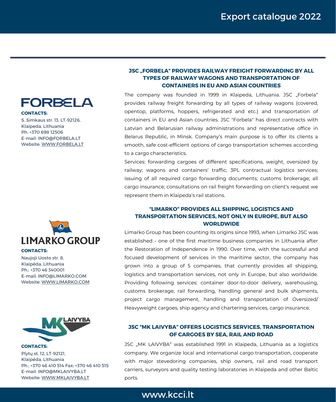

**CONTACTS:**

S. Simkaus str. 13, LT-92126, Klaipeda, Lithuania Ph. +370 698 12506 E-mail: INFO@FORBELA.LT Website: [WWW.FORBELA.LT](https://www.baltic-shipping.lt/)



Naujoji Uosto str. 8, Klaipėda, Lithuania Ph.: +370 46 340001 E-mail: INFO@LIMARKO.COM Website: [WWW.LIMARKO.COM](https://www.limarko.com/)



Plytų st. 12, LT-92121, Klaipėda, Lithuania Ph.: +370 46 410 514 Fax: +370 46 410 515 E-mail: INFO@MKLAIVYBA.LT Website: [WWW.MKLAIVYBA.LT](http://www.mklaivyba.lt/en/) **CONTACTS:**

#### **JSC "FORBELA" PROVIDES RAILWAY FREIGHT FORWARDING BY ALL TYPES OF RAILWAY WAGONS AND TRANSPORTATION OF CONTAINERS IN EU AND ASIAN COUNTRIES**

The company was founded in 1999 in Klaipeda, Lithuania, JSC "Forbela" provides railway freight forwarding by all types of railway wagons (covered, opentop, platforms, hoppers, refrigerated and etc.) and transportation of containers in EU and Asian countries. JSC "Forbela" has direct contracts with Latvian and Belarusian railway administrations and representative office in Belarus Republic, in Minsk. Company's main purpose is to offer its clients a smooth, safe cost-efficient options of cargo transportation schemes according to a cargo characteristics.

Services: forwarding cargoes of different specifications, weight, oversized by railway; wagons and containers' traffic; 3PL contractual logistics services; issuing of all required cargo forwarding documents; customs brokerage; all cargo insurance; consultations on rail freight forwarding on client's request we represent them in Klaipeda's rail stations.

#### **"LIMARKO" PROVIDES ALL SHIPPING, LOGISTICS AND TRANSPORTATION SERVICES, NOT ONLY IN EUROPE, BUT ALSO WORLDWIDE**

Limarko Group has been counting its origins since 1993, when Limarko JSC was established - one of the first maritime business companies in Lithuania after the Restoration of Independence in 1990. Over time, with the successful and focused development of services in the maritime sector, the company has grown into a group of 5 companies, that currently provides all shipping, logistics and transportation services, not only in Europe, but also worldwide. Providing following services: container door-to-door delivery, warehousing, customs brokerage, rail forwarding, handling general and bulk shipments, project cargo management, handling and transportation of Oversized/ Heavyweight cargoes, ship agency and chartering services, cargo insurance.

#### **JSC "MK LAIVYBA" OFFERS LOGISTICS SERVICES, TRANSPORTATION OF CARGOES BY SEA, RAIL AND ROAD**

JSC "MK LAIVYBA" was established 1991 in Klaipeda, Lithuania as a logistics company. We organize local and international cargo transportation, cooperate with major stevedoring companies, ship owners, rail and road transport carriers, surveyors and quality testing laboratories in Klaipeda and other Baltic ports.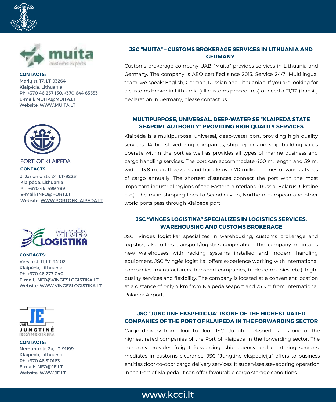



Marių st. 17, LT-93264 Klaipėda, Lithuania Ph. +370 46 257 150; +370 644 65553 E-mail: MUITA@MUITA.LT Website: [WWW.MUITA.LT](https://www.muita.lt/EN) **CONTACTS:**



PORT OF KLAIPEDA **CONTACTS:**

J. Janonio str. 24, LT-92251 Klaipėda, Lithuania Ph. +370 46 499 799 E-mail: INFO@PORT.LT Website: [WWW.PORTOFKLAIPEDA.LT](https://www.portofklaipeda.lt/en)



Verslo st. 11, LT-94102, Klaipėda, Lithuania Ph. +370 46 277 040 E-mail: INFO@VINGESLOGISTIKA.LT Website: [WWW.VINGESLOGISTIKA.LT](https://www.vingeslogistika.lt/?lang=en) **CONTACTS:**



Nemuno str. 2a, LT-91199 Klaipeda, Lithuania Ph. +370 46 310163 E-mail: INFO@JE.LT Website: [WWW.JE.LT](https://www.je.lt/) **CONTACTS:**

#### **JSC "MUITA" – CUSTOMS BROKERAGE SERVICES IN LITHUANIA AND GERMANY**

Customs brokerage company UAB "Muita" provides services in Lithuania and Germany. The company is AEO certified since 2013. Service 24/7! Multilingual team, we speak: English, German, Russian and Lithuanian. If you are looking for a customs broker in Lithuania (all customs procedures) or need a T1/T2 (transit) declaration in Germany, please contact us.

#### **MULTIPURPOSE, UNIVERSAL, DEEP-WATER SE "KLAIPEDA STATE SEAPORT AUTHORITY" PROVIDING HIGH QUALITY SERVICES**

Klaipėda is a multipurpose, universal, deep-water port, providing high quality services. 14 big stevedoring companies, ship repair and ship building yards operate within the port as well as provides all types of marine business and cargo handling services. The port can accommodate 400 m. length and 59 m. width, 13.8 m. draft vessels and handle over 70 million tonnes of various types of cargo annually. The shortest distances connect the port with the most important industrial regions of the Eastern hinterland (Russia, Belarus, Ukraine etc.). The main shipping lines to Scandinavian, Northern European and other world ports pass through Klaipėda port.

#### **JSC "VINGES LOGISTIKA" SPECIALIZES IN LOGISTICS SERVICES, WAREHOUSING AND CUSTOMS BROKERAGE**

JSC "Vingės logistika" specializes in warehousing, customs brokerage and logistics, also offers transport/logistics cooperation. The company maintains new warehouses with racking systems installed and modern handling equipment. JSC "Vingės logistika" offers experience working with international companies (manufacturers, transport companies, trade companies, etc.), highquality services and flexibility. The company is located at a convenient location at a distance of only 4 km from Klaipeda seaport and 25 km from International Palanga Airport.

#### **JSC "JUNGTINE EKSPEDICIJA" IS ONE OF THE HIGHEST RATED COMPANIES OF THE PORT OF KLAIPEDA IN THE FORWARDING SECTOR**

Cargo delivery from door to door JSC "Jungtine ekspedicija" is one of the highest rated companies of the Port of Klaipeda in the forwarding sector. The company provides freight forwarding, ship agency and chartering services, mediates in customs clearance. JSC "Jungtine ekspedicija" offers to business entities door-to-door cargo delivery services. It supervises stevedoring operation in the Port of Klaipeda. It can offer favourable cargo storage conditions.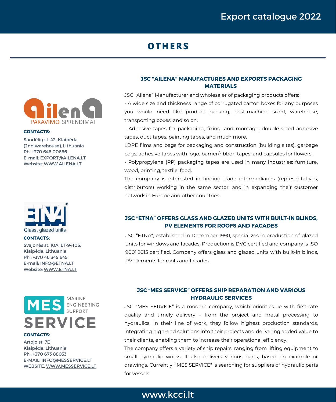## **OTHERS**



#### **CONTACTS:**

Sandėlių st. 42, Klaipėda, (2nd warehouse), Lithuania Ph. +370 646 00666 E-mail: EXPORT@AILENA.LT Website: [WWW.AILENA.LT](https://www.ailena.lt/en/)



#### **CONTACTS:**

Svajonės st. 10A, LT-94105, Klaipėda, Lithuania Ph.: +370 46 345 645 E-mail: INFO@ETNA.LT Website: [WWW.ETNA.LT](https://www.etna.lt/)



#### **CONTACTS:**

Artojo st. 7E Klaipėda, Lithuania Ph.: +370 673 88033 E-MAIL: INFO@MESSERVICE.LT WEBSITE: [WWW.MESSERVICE.LT](http://www.messervice.lt/)

#### **JSC "AILENA" MANUFACTURES AND EXPORTS PACKAGING MATERIALS**

JSC "Ailena" Manufacturer and wholesaler of packaging products offers:

- A wide size and thickness range of corrugated carton boxes for any purposes you would need like product packing, post-machine sized, warehouse, transporting boxes, and so on.

- Adhesive tapes for packaging, fixing, and montage, double-sided adhesive tapes, duct tapes, painting tapes, and much more.

LDPE films and bags for packaging and construction (building sites), garbage bags, adhesive tapes with logo, barrier/ribbon tapes, and capsules for flowers.

- Polypropylene (PP) packaging tapes are used in many industries: furniture, wood, printing, textile, food.

The company is interested in finding trade intermediaries (representatives, distributors) working in the same sector, and in expanding their customer network in Europe and other countries.

#### **JSC "ETNA" OFFERS GLASS AND GLAZED UNITS WITH BUILT-IN BLINDS, PV ELEMENTS FOR ROOFS AND FACADES**

JSC "ETNA", established in December 1990, specializes in production of glazed units for windows and facades. Production is DVC certified and company is ISO 9001:2015 certified. Company offers glass and glazed units with built-in blinds, PV elements for roofs and facades.

#### **JSC "MES SERVICE" OFFERS SHIP REPARATION AND VARIOUS HYDRAULIC SERVICES**

JSC "MES SERVICE" is a modern company, which priorities lie with first-rate quality and timely delivery – from the project and metal processing to hydraulics. In their line of work, they follow highest production standards, integrating high-end solutions into their projects and delivering added value to their clients, enabling them to increase their operational efficiency.

The company offers a variety of ship repairs, ranging from lifting equipment to small hydraulic works. It also delivers various parts, based on example or drawings. Currently, "MES SERVICE" is searching for suppliers of hydraulic parts for vessels.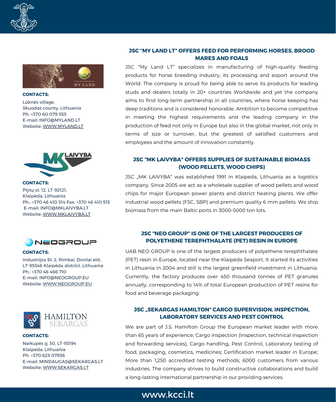



Lūknės village, Skuodas county, Lithuania Ph. +370 60 079 555 E-mail: INFO@MYLAND.LT Website: [WWW.MYLAND.LT](https://mylandgrass.com/en/) **CONTACTS:**



Plytų st. 12, LT-92121, Klaipėda, Lithuania Ph.: +370 46 410 514 Fax: +370 46 410 515 E-mail: INFO@MKLAIVYBA.LT Website: [WWW.MKLAIVYBA.LT](http://www.mklaivyba.lt/en/) **CONTACTS:**



#### **CONTACTS:**

Industrijos St. 2, Rimkai, Dovilai eld., LT-95346 Klaipėda district, Lithuania Ph.: +370 46 466 710 E-mail: INFO@NEOGROUP.EU Website: [WWW.NEOGROUP.EU](https://neogroup.eu/en/)



#### **CONTACTS:**

Naikupės g. 30, LT-93194 Klaipeda, Lithuania Ph. +370 625 07936 E-mail: MINDAUGAS@SEKARGAS.LT Website: [WWW.SEKARGAS.LT](http://www.sekargas.lt/)

#### **JSC "MY LAND LT" OFFERS FEED FOR PERFORMING HORSES, BROOD MARES AND FOALS**

JSC "My Land LT" specializes in manufacturing of high-quality feeding products for horse breeding industry, its processing and export around the World. The company is proud for being able to serve its products for leading studs and dealers totally in 20+ countries Worldwide and yet the company aims to find long-term partnership in all countries, where horse keeping has deep traditions and is considered honorable. Ambition to become competitive in meeting the highest requirements and the leading company in the production of feed not only in Europe but also in the global market, not only in terms of size or turnover, but the greatest of satisfied customers and employees and the amount of innovation constantly.

#### **JSC "MK LAIVYBA" OFFERS SUPPLIES OF SUSTAINABLE BIOMASS (WOOD PELLETS, WOOD CHIPS)**

JSC "MK LAIVYBA" was established 1991 in Klaipeda, Lithuania as a logistics company. Since 2005 we act as a wholesale supplier of wood pellets and wood chips for major European power plants and district heating plants. We offer industrial wood pellets (FSC, SBP) and premium quality 6 mm pellets. We ship biomass from the main Baltic ports in 3000-5000 ton lots.

#### **JSC "NEO GROUP" IS ONE OF THE LARGEST PRODUCERS OF POLYETHENE TEREPHTHALATE (PET) RESIN IN EUROPE**

UAB NEO GROUP is one of the largest producers of polyethene terephthalate (PET) resin in Europe, located near the Klaipėda Seaport. It started its activities in Lithuania in 2004 and still is the largest greenfield investment in Lithuania. Currently, the factory produces over 450 thousand tonnes of PET granules annually, corresponding to 14% of total European production of PET resins for food and beverage packaging.

#### **JSC "SEKARGAS HAMILTON" CARGO SUPERVISION, INSPECTION, LABORATORY SERVICES AND PEST CONTROL**

We are part of J.S. Hamilton Group the European market leader with more than 65 years of experience; Cargo inspection (inspection, technical inspection and forwarding services), Cargo handling, Pest Control, Laboratory testing of food, packaging, cosmetics, medicines; Certification market leader in Europe; More than 1,250 accredited testing methods; 6000 customers from various industries. The company strives to build constructive collaborations and build a long-lasting international partnership in our providing services.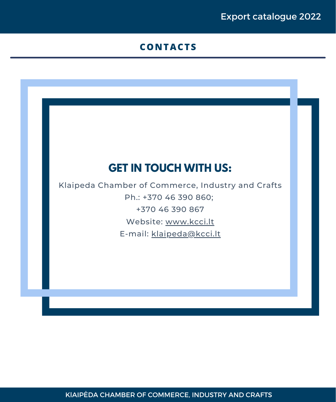## **CONTACTS**

## **GET IN TOUCH WITH US:**

Klaipeda Chamber of Commerce, Industry and Crafts Ph.: +370 46 390 860; +370 46 390 867 Website: [www.kcci.lt](http://www.kcci.lt/en) E-mail: [klaipeda@kcci.lt](mailto:klaipeda@kcci.lt)